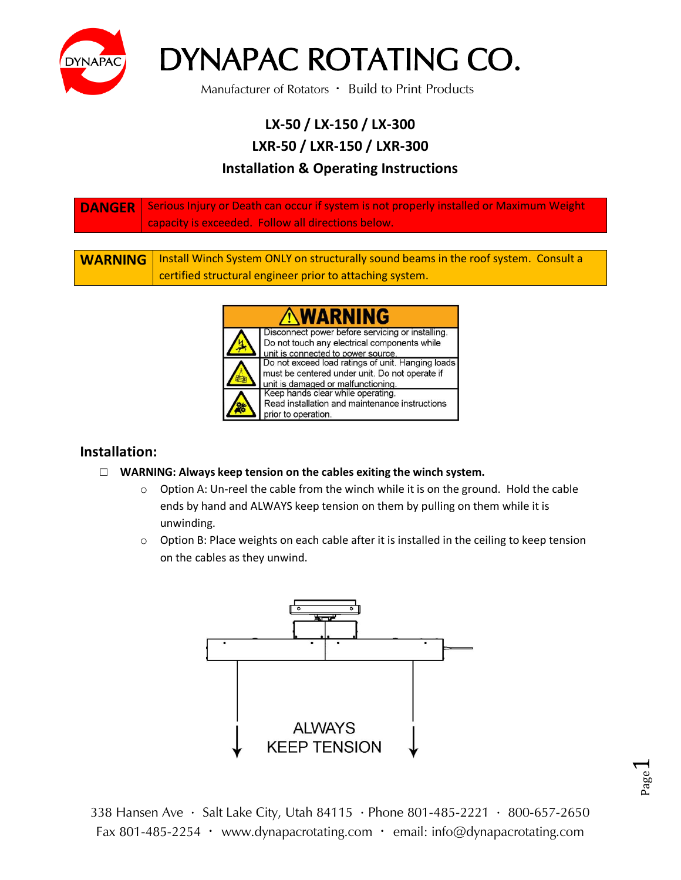

Manufacturer of Rotators · Build to Print Products

#### **LX-50 / LX-150 / LX-300 LXR-50 / LXR-150 / LXR-300 Installation & Operating Instructions**

| <b>DANGER</b> Serious Injury or Death can occur if system is not properly installed or Maximum Weight<br>capacity is exceeded. Follow all directions below. |
|-------------------------------------------------------------------------------------------------------------------------------------------------------------|
|                                                                                                                                                             |

WARNING | Install Winch System ONLY on structurally sound beams in the roof system. Consult a certified structural engineer prior to attaching system.



#### **Installation:**

- □ **WARNING: Always keep tension on the cables exiting the winch system.**
	- $\circ$  Option A: Un-reel the cable from the winch while it is on the ground. Hold the cable ends by hand and ALWAYS keep tension on them by pulling on them while it is unwinding.
	- $\circ$  Option B: Place weights on each cable after it is installed in the ceiling to keep tension on the cables as they unwind.



338 Hansen Ave · Salt Lake City, Utah 84115 · Phone 801-485-2221 · 800-657-2650 Fax 801-485-2254 · www.dynapacrotating.com · email: info@dynapacrotating.com

Page  $\blacktriangleleft$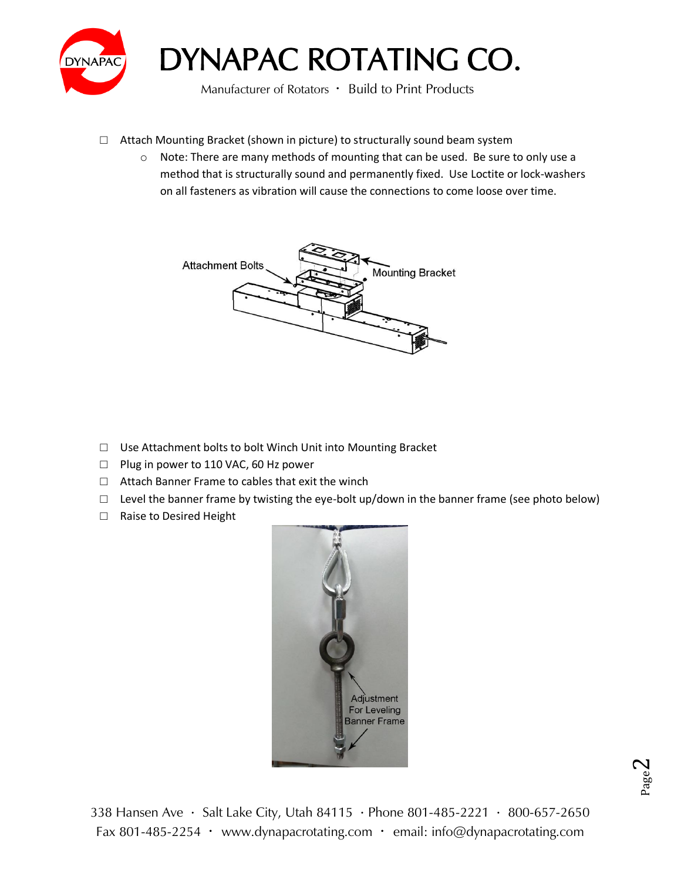

Manufacturer of Rotators · Build to Print Products

- □ Attach Mounting Bracket (shown in picture) to structurally sound beam system
	- $\circ$  Note: There are many methods of mounting that can be used. Be sure to only use a method that is structurally sound and permanently fixed. Use Loctite or lock-washers on all fasteners as vibration will cause the connections to come loose over time.



- □ Use Attachment bolts to bolt Winch Unit into Mounting Bracket
- □ Plug in power to 110 VAC, 60 Hz power
- □ Attach Banner Frame to cables that exit the winch
- $\Box$  Level the banner frame by twisting the eye-bolt up/down in the banner frame (see photo below)
- □ Raise to Desired Height

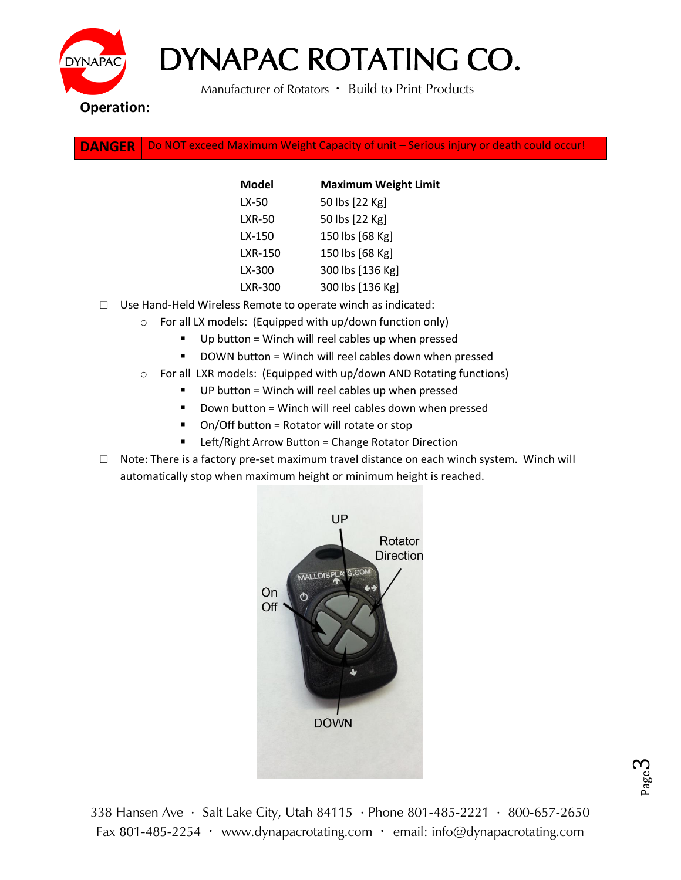

Manufacturer of Rotators · Build to Print Products

**DANGER** Do NOT exceed Maximum Weight Capacity of unit – Serious injury or death could occur!

| Model         | <b>Maximum Weight Limit</b> |
|---------------|-----------------------------|
| LX-50         | 50 lbs [22 Kg]              |
| <b>LXR-50</b> | 50 lbs [22 Kg]              |
| LX-150        | 150 lbs [68 Kg]             |
| LXR-150       | 150 lbs [68 Kg]             |
| LX-300        | 300 lbs [136 Kg]            |
| LXR-300       | 300 lbs [136 Kg]            |

- □ Use Hand-Held Wireless Remote to operate winch as indicated:
	- o For all LX models: (Equipped with up/down function only)
		- $\blacksquare$  Up button = Winch will reel cables up when pressed
		- DOWN button = Winch will reel cables down when pressed
	- o For all LXR models: (Equipped with up/down AND Rotating functions)
		- UP button = Winch will reel cables up when pressed
		- $\blacksquare$  Down button = Winch will reel cables down when pressed
		- On/Off button = Rotator will rotate or stop
		- Left/Right Arrow Button = Change Rotator Direction
- $\Box$  Note: There is a factory pre-set maximum travel distance on each winch system. Winch will automatically stop when maximum height or minimum height is reached.